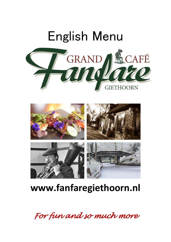



# **www.fanfaregiethoorn.nl**

*For fun and so much more*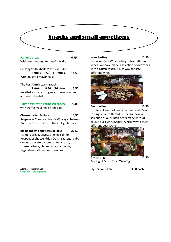## Snacks and small appetizers

Farmers bread 6,75 With Hummus and tomato/nuts dip

**De Jong "bitterballen"** typical Dutch

**(8 stuks) 8,50 (16 stuks) 14,50** With mustard mayonnaise

#### **The best Dutch warm snacks**

**(8 stuks) 9,50 (16 stuks) 15,50** meatballs, chicken nuggets, cheese soufflés and veal bitterbal

#### **Truffle fries with Parmesan cheese 7,50**

with truffle mayonnaise and salt

#### **Cheeseplatter Fanfare 14,50**

Reypenaer Cheese - Blue de Wolvega cheese – Brie – Surprise Cheese – Nuts – Fig Chutney

#### **Big board off appetizers de luxe 27,50**

Farmers bread, olives, smoked salmon, Reypenaer cheese, dried Dutch sausage, baby onions on aceto balsamico, tuna salad, smoked ribeye, chickenwings, almonds, vegetables with hummus, nachos

Allergies? Please tell us! Green dishes are vegetarian

#### **Wine tasting 13,50**

Our wine shelf Wine tasting of five different wines. We have made a selection of our wines with a Dutch touch. A nice way to taste different wines



**Beer tasting 13,50** 5 different kinds of beer Our beer shelf Beer tasting of five different beers. We have a selection of our Dutch beers made with Of course our own Geytbier. A nice way to taste different beersDutch



**Gin tasting 12,50** Tasting of Dutch "Van Wees" gin.

**Oysters and lime 3,50 each**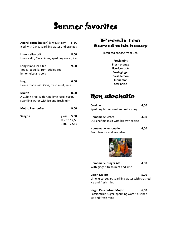# Summer favorites

| Aperol Spritz (Italian) (always tasty) 8, 00<br>Iced with Cava, sparkling water and oranges     |                                                     |      |
|-------------------------------------------------------------------------------------------------|-----------------------------------------------------|------|
| Limoncello spritz<br>Limoncello, Cava, limes, sparkling water, ice                              |                                                     | 8,00 |
| Long Island iced tea<br>Vodka, tequilla, rum, tripled sec<br>lemonjuice and cola                |                                                     | 9,00 |
| Hugo<br>Home made with Cava, fresh mint, lime                                                   |                                                     | 6,00 |
| Mojito<br>A Cuban drink with rum, lime juice, sugar,<br>sparkling water with ice and fresh mint |                                                     | 8,00 |
| <b>Mojito Passionfruit</b>                                                                      |                                                     | 9,00 |
| <b>Sangria</b>                                                                                  | glass <b>5,50</b><br>0,5 ltr. 12,50<br>1 ltr. 22,50 |      |



**Fresh tea choose from 3,95**

**Fresh mint Fresh orange licorice sticks Fresh ginger Fresh lemon Cinnamon Star anise**

## Non alcoholic

| Crodino                               | 4.00 |
|---------------------------------------|------|
| Sparkling bittersweet and refreshing  |      |
| Homemade icetea                       | 4.00 |
| Our chef makes it with his own recipe |      |
| Homemade lemonade                     | 4.00 |
| From lemons and grapefruit            |      |



| <b>Homemade Ginger Ale</b>       | 4.00 |
|----------------------------------|------|
| With ginger, fresh mint and lime |      |
| <b>Virgin Mojito</b>             | 5.00 |

Lime juice, sugar, sparkling water with crushed ice and fresh mint

**Virgin Passionfruit Mojito 6,00** Passionfruit, sugar, sparkling water, crushed ice and fresh mint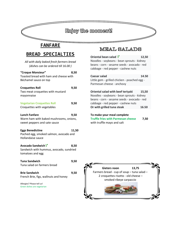## Enjoy the moment!

## **FANFARE**

## **BREAD SPECIALTIES**

| All with daily baked fresh farmers bread<br>(dishes can be ordered till 16.00)                 |       |
|------------------------------------------------------------------------------------------------|-------|
| "Croque Monsieur"<br>Toasted bread with ham and cheese with<br>Béchamel sauce on top           | 8,50  |
| <b>Croquettes Roll</b><br>Two meat croquettes with mustard<br>mayonnaise                       | 9,50  |
| <b>Vegetarian Croquettes Roll</b><br>Croquettes with vegetables                                | 9,50  |
| <b>Lunch Fanfare</b><br>Warm ham with baked mushrooms, onions,<br>sweet peppers and sate sauce | 9,50  |
| <b>Eggs Benedictine</b><br>Poched egg, smoked salmon, avocado and<br>Hollandaise sauce         | 11,50 |
| Avocado Sandwich V<br>Sandwich with hummus, avocado, sundried<br>tomatoes and egg              | 8,50  |
| <b>Tuna Sandwich</b><br>Tuna salad on farmers bread                                            | 9,50  |
| <b>Brie Sandwich</b><br>French Brie, figs, wallnuts and honey                                  | 9,50  |
| Allergies? Please tell us!<br>Green dishes are vegetarian                                      |       |

## MEAL SALADS

| Oriental bean salad $\sqrt{\ }$              | 12,50 |
|----------------------------------------------|-------|
| Noodles - soybeans - bean sprouts - kidney   |       |
| beans - corn - sesame seeds - avocado - red  |       |
| cabbage - red pepper - cashew nuts           |       |
|                                              |       |
| Caesar salad                                 | 14.50 |
| Little gem - grilled chicken - poached egg - |       |
| Parmesan cheese - anchovy                    |       |
|                                              |       |

| Oriental salad with beef teriyaki           | 15,50 |
|---------------------------------------------|-------|
| Noodles - soybeans - bean sprouts - kidney  |       |
| beans - corn - sesame seeds - avocado - red |       |
| cabbage - red pepper - cashew nuts          |       |
| Or with grilled tuna steak                  | 16.50 |

#### **To make your meal complete**

**Truffle fries with Parmesan cheese 7,50** with truffle mayo and salt

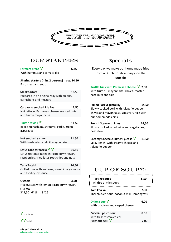

#### OUR starters

| Farmers bread $V$<br>With hummus and tomato dip                                                                                          | 6,75  | Every day we mak<br>from a Dutch po                                                                   |  |
|------------------------------------------------------------------------------------------------------------------------------------------|-------|-------------------------------------------------------------------------------------------------------|--|
| Sharing starters (min. 2 persons) p.p. 14,50<br>Fish, meat and soup                                                                      |       | o                                                                                                     |  |
| <b>Steak tartare</b><br>Prepared in an original way with onions,<br>cornichons and mustard                                               | 12.50 | <b>Truffle fries with Par</b><br>with truffle - mayon<br>hazelnuts and salt                           |  |
| Carpaccio smoked Rib Eye<br>Nut lettuce, Parmesan cheese, roasted nuts<br>and truffle mayonnaise                                         | 12,50 | <b>Pulled Pork &amp; piccali</b><br>Slowly cooked pork v<br>chives and mayonnai<br>our homemade chips |  |
| Truffle ravioli $\mathcal V$<br>Baked spinach, mushrooms, garlic, green<br>asparagus                                                     | 11,50 | <b>French Stew with Fri</b><br>Slowly cooked in red<br>beef stew                                      |  |
| <b>Hot smoked salmon</b><br>With fresh salad and dill mayonnaise                                                                         | 11.50 | <b>Creamy Cheese &amp; Kit</b><br>Spicy kimchi with cre<br>Jalapeño pepper                            |  |
| Lotus root carpaccio $\sqrt{\ } \sqrt{\ }$<br>Lotus root marinated in raspberry vinegar,<br>raspberries, fried lotus root chips and nuts | 10,50 |                                                                                                       |  |
| <b>Tuna Tataki</b><br>Grilled tuna with wakame, wasabi mayonnaise<br>and tobiko/soy sauce                                                | 14,50 | <b>CUP OI</b>                                                                                         |  |
| <b>Oysters</b><br>Five oysters with lemon, raspberry vinegar,<br>shallots<br>3*9,50 6*18<br>$9*25$                                       | 3,50  | <b>Tasting soups</b><br>All three little soup<br>Tom kha kai<br>Thai chicken soun, co                 |  |



 $\sqrt{\ }$  vegan

**Specials**

Every day we make our home made fries from a Dutch potatoe, crispy on the outside

**Truffle fries with Parmesan cheese 7,50** with truffle – mayonnaise, chives, roasted hazelnuts and salt

**Pulled Pork & piccalilly 14,50**  $\mathbf{B}$   $\mathbf{B}$   $\mathbf{B}$  and  $\mathbf{C}$  slowly cooked pork with Jalapeño pepper, roasted ridts chives and mayonnaise, goes very nice with et mooie bour homemade chips

**11,50** French Stew with Fries **14,50** lic, green slowly cooked in red wine and vegetables,

> **Creamy Cheese & Kimchi please 13,50** Spicy kimchi with creamy cheese and Jalapeño pepper

#### CUP OF SOUP?!:

| <b>Tasting soups</b><br>All three little soups             | 8.50 |
|------------------------------------------------------------|------|
| Tom kha kai<br>Thai chicken soup, coconut milk, lemongrass | 7.00 |
| Onion soup $V$<br>With croutons and rasped cheese          | 6.00 |
| Zucchini pesto soup<br>with freshly smoked eel             | 8.50 |
| (without eel) $\sqrt{\ }$                                  |      |

Allergies? Please tell us All green dishes are vegetarian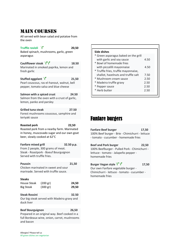## MAIN COURSES

All served with bean salad and potatoe from the oven

**Truffle ravioli 20,50**

Baked spinach, mushrooms, garlic, green asparagus

**Cauliflower steak**  $\sqrt{\sqrt{}}$  18.50 Marinated in smoked paprika, lemon and fresh garlic

Stuffed eggplant  $\sqrt{21,50}$ Pearl couscous, ras-el-hanout, walnut, bell pepper, tomato salsa and blue cheese

**Salmon with a spiced crust 24.50** Salmon from the oven with a crust of garlic, lemon, panko and parsley

**Grilled tuna steak 27.50** Forest mushrooms couscous, samphire and teriyaki sauce

**Roasted pork 22,50** Roasted pork from a nearby farm. Marinated in honey, muscovado sugar and our own goat beer, slowly cooked at 62°C

**Fanfare mixed grill 32.50 p.p.** From 2 people, 300 grams of meat. Steak - Roastpork - Boeuf Bourguignon Served with truffle fries.

| <b>Poussin</b>                       | 21.50 |
|--------------------------------------|-------|
| Chicken marinated in sweet and sour  |       |
| marinade. Served with truffle sauce. |       |

#### **Steaks**

| House Steak      | (200 gr)           | 24,50 |
|------------------|--------------------|-------|
| <b>Big Steak</b> | $(300 \text{ gr})$ | 29,50 |

#### **Steak Rossini 32.50**

Our big steak served with Madeira gravy and duck liver

**Beef Bourguignon 26,50**

Prepared in an original way. Beef cooked in a full Bordeaux wine, onion, carrot, mushrooms and bacon

| Side dishes                          |      |
|--------------------------------------|------|
| * Green asparagus baked on the grill |      |
| with garlic and soy sauce            | 4.50 |
| * Bowl of homemade fries             |      |
| with piccalilli mayonnaise           | 4.50 |
| * Truffle fries, truffle mayonnaise, |      |
| shallot, hazelnuts and truffle salt  | 7.50 |
| * Mushroom cream sauce               | 2.50 |
| * Madeira truffle gravy              | 2.50 |
| * Pepper sauce                       | 2.50 |
| * Herb butter                        | 2.50 |
|                                      |      |

## Fanfare burgers

 $\Big\}$ 

**Fanfare Beef burger 17,50** 100% Beef burger - Brie - Chimichurri - lettuce - tomato - cucumber - homemade fries

**Beef and Pork burger 22,50** 100% Beefburger - Pulled Pork - Chimichurri lettuce - tomato - Jalapeño pepper homemade fries

**Burger Vegan style**  $\sqrt{\phantom{0}}\sqrt{\phantom{0}}$  **17,50** Our own Fanfare vegetable burger - Chimichurri - lettuce - tomato - cucumber homemade fries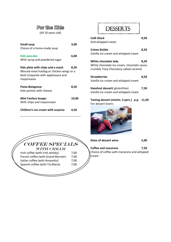#### For the Kids

(till 10 years old)

| <b>Small soup</b><br>Choice of a home-made soup                                                                                   | 3,00  |
|-----------------------------------------------------------------------------------------------------------------------------------|-------|
| Kids pancake<br>With syrup and powdered sugar                                                                                     | 6,00  |
| Kids plate with chips and a snack<br>Minced-meat hotdog or chicken wings or a<br>beef croquette with applesauce and<br>mayonnaise | 8,50  |
| Pasta Bolognese<br>Kids portion with cheese                                                                                       | 8,50  |
| Mini Fanfare burger<br>With chips and mayonnaise                                                                                  | 10,00 |
| Children's ice cream with surprise                                                                                                | 4.50  |

| .<br>. |  |
|--------|--|

| Café Glacé<br>And whipped cream                                                                              | 8,50 |
|--------------------------------------------------------------------------------------------------------------|------|
|                                                                                                              |      |
| Crème Brûlée                                                                                                 | 8,50 |
| Vanilla ice cream and whipped cream                                                                          |      |
| White chocolate lady<br>White chocolate ice cream, chocolate sauce,<br>crumble Tony Chocolony salted caramel | 8.50 |
| <b>Strawberries</b><br>Vanilla ice cream and whipped cream                                                   | 8.50 |

| Hazelnut dessert( glutenfree)       | 7,50 |
|-------------------------------------|------|
| Vanilla ice cream and whipped cream |      |

**Tasting dessert (minim. 2 pers.) p.p. 11,50** For dessert lovers



COFFEE SPECIALS WITH CREAM Irish coffee (with Irish whisky) 7,00 French coffee (with Grand Marnier) 7,00 Italian coffee (with Amaretto) 7,00 Spanish coffee (with Tia Maria) 7,00

Ī

Glass of dessert wine 5,00

**Coffee and macarons 7,50** Choice of coffee with macarons and whipped cream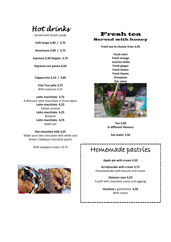*Hot drinks* 

Served with Dutch candy

**Café lungo 2,90 / 3,75**

**Americano 2,90 / 3,75**

**Espresso 2,90 Doppio 3,75**

**Espresso con panna 4,50**

**Cappuccino 3,10 / 3,85**

**Chai Tea Latte 3,75** With espresso 4,25

**Latte macchiato 3,75** A delicious latte macchiato in three layers **Latte macchiato 4,25** Salted caramel **Latte macchiato 4,25** Brownie **Latte macchiato 4,25** Apple pie

**Hot chocolate milk 3,25** Make your own chocolate with white and brown Callebaut chocolate pearls

*With whipped cream +0,75*



#### Fresh tea Served with honey

**Fresh tea to choose from 3,95**

**Fresh mint Fresh orange Licorice sticks Fresh ginger Fresh lemon Fresh thyme Cinnamon Star anise**



**Tea 2,90 In different flavours**

**hot water 1,50**

Homemade pastries

**Apple pie with cream 4,50**

 **Arretjescake with cream 3,75** Chocolatecake with biscuits and cream

 **Gietsere soes 4,50** A puff with chocolate sauce and eggnog

> **it** ( glutenfre<br>With cream **Hazelnut** ( glutenfree) **4,50**

> > $\overline{\phantom{a}}$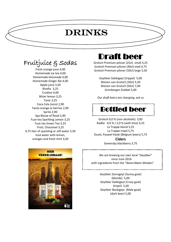# Drinks

Fruitjuice & Sodas

٦

 $\overline{a}$ 

Fresh orange juice 4,00 Homemade ice tea 4,00 Homemade lemonade 4,00 Homemade Ginger Ale 4,00 Apple juice 3,50 Rivella 3,25 Crodino 4,00 Bitter lemon 3,25 Tonic 3,25 Coca Cola (zero) 2,90 Fanta orange or berries 2,90 Sprite 2,90 Spa Blauw of Rood 2,90 Fuze tea Sparkling Lemon 3,25 Fuze tea Green Tea 3,25 Fristi, Chocomel 3,25 0,75 liter of sparkling or still water 5,50 Iced water with lemon, oranges and fresh mint 3,50



# Draft beer

 $\overline{a}$ 

 $\overline{a}$ 

Grolsch Premium pilsner (25cl) small 3,25 Grolsch Premium pilsner (40cl) med 4,75 Grolsch Premium pilsner (50cl) large 5,50

> Geytbier Gekkigeyt (trippel) 5,00 Weizen van Grolsch (30cl) 5,50 Weizen van Grolsch (50cl) 7,00 Grimbergen Dubbel 5,00

*Our draft beers are changing, ask us*



Grolsch 0,0 % (non alcoholic) 3,85 Radler 0,0 % / 2,0 % (with lime) 4,25 La Trappe blond 5,25 La Trappe tripel 5,75 Duvel, Pauwel Kwak (Belgium beers) 5,75 **Ciders**

Somersby blackberry 3,75

 We are brewing our own local "Geytbier" since June 2016 with ingredients from the "Weerribben-Wieden"

> Geytbier Zonnigeyt (Sunny goat) (blonde) 5,00 Geytbier Gekkigeyt (Crazy goat) (tripel) 5,00 Geytbier Bockigeyt (Male goat) (dark beer) 5,00